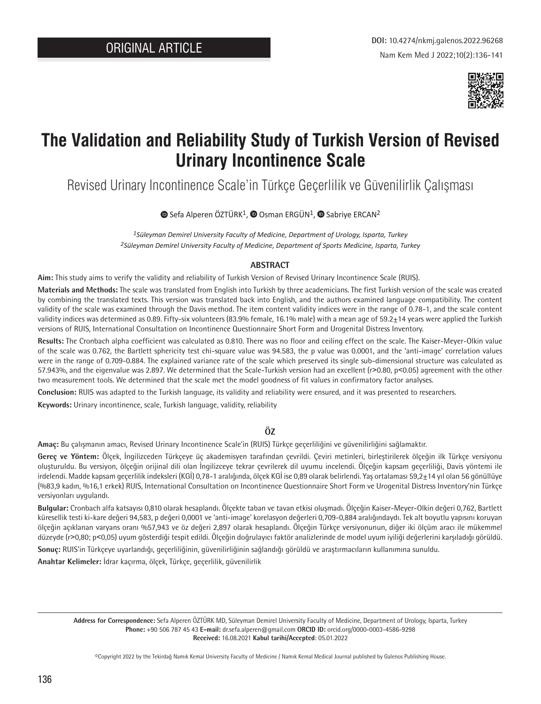

# **The Validation and Reliability Study of Turkish Version of Revised Urinary Incontinence Scale**

Revised Urinary Incontinence Scale'in Türkçe Geçerlilik ve Güvenilirlik Çalışması

**■**Sefa Alperen ÖZTÜRK<sup>1</sup>, ■ [O](https://orcid.org/0000-0001-7611-0933)sman ERGÜN<sup>1</sup>, ■ Sabriye ERCAN<sup>2</sup>

*1Süleyman Demirel University Faculty of Medicine, Department of Urology, Isparta, Turkey 2Süleyman Demirel University Faculty of Medicine, Department of Sports Medicine, Isparta, Turkey*

## **ABSTRACT**

**Aim:** This study aims to verify the validity and reliability of Turkish Version of Revised Urinary Incontinence Scale (RUIS).

**Materials and Methods:** The scale was translated from English into Turkish by three academicians. The first Turkish version of the scale was created by combining the translated texts. This version was translated back into English, and the authors examined language compatibility. The content validity of the scale was examined through the Davis method. The item content validity indices were in the range of 0.78-1, and the scale content validity indices was determined as 0.89. Fifty-six volunteers (83.9% female, 16.1% male) with a mean age of  $59.2\pm14$  years were applied the Turkish versions of RUIS, International Consultation on Incontinence Questionnaire Short Form and Urogenital Distress Inventory.

**Results:** The Cronbach alpha coefficient was calculated as 0.810. There was no floor and ceiling effect on the scale. The Kaiser-Meyer-Olkin value of the scale was 0.762, the Bartlett sphericity test chi-square value was 94.583, the p value was 0.0001, and the 'anti-image' correlation values were in the range of 0.709-0.884. The explained variance rate of the scale which preserved its single sub-dimensional structure was calculated as 57.943%, and the eigenvalue was 2.897. We determined that the Scale-Turkish version had an excellent (r>0.80, p<0.05) agreement with the other two measurement tools. We determined that the scale met the model goodness of fit values in confirmatory factor analyses.

**Conclusion:** RUIS was adapted to the Turkish language, its validity and reliability were ensured, and it was presented to researchers.

**Keywords:** Urinary incontinence, scale, Turkish language, validity, reliability

## **ÖZ**

**Amaç:** Bu çalışmanın amacı, Revised Urinary Incontinence Scale'in (RUIS) Türkçe geçerliliğini ve güvenilirliğini sağlamaktır.

**Gereç ve Yöntem:** Ölçek, İngilizceden Türkçeye üç akademisyen tarafından çevrildi. Çeviri metinleri, birleştirilerek ölçeğin ilk Türkçe versiyonu oluşturuldu. Bu versiyon, ölçeğin orijinal dili olan İngilizceye tekrar çevrilerek dil uyumu incelendi. Ölçeğin kapsam geçerliliği, Davis yöntemi ile irdelendi. Madde kapsam geçerlilik indeksleri (KGİ) 0,78-1 aralığında, ölçek KGİ ise 0,89 olarak belirlendi. Yaş ortalaması 59,2±14 yıl olan 56 gönüllüye (%83,9 kadın, %16,1 erkek) RUIS, International Consultation on Incontinence Questionnaire Short Form ve Urogenital Distress Inventory'nin Türkçe versiyonları uygulandı.

**Bulgular:** Cronbach alfa katsayısı 0,810 olarak hesaplandı. Ölçekte taban ve tavan etkisi oluşmadı. Ölçeğin Kaiser-Meyer-Olkin değeri 0,762, Bartlett küresellik testi ki-kare değeri 94,583, p değeri 0,0001 ve 'anti-image' korelasyon değerleri 0,709-0,884 aralığındaydı. Tek alt boyutlu yapısını koruyan ölçeğin açıklanan varyans oranı %57,943 ve öz değeri 2,897 olarak hesaplandı. Ölçeğin Türkçe versiyonunun, diğer iki ölçüm aracı ile mükemmel düzeyde (r˃0,80; p˂0,05) uyum gösterdiği tespit edildi. Ölçeğin doğrulayıcı faktör analizlerinde de model uyum iyiliği değerlerini karşıladığı görüldü.

**Sonuç:** RUIS'in Türkçeye uyarlandığı, geçerliliğinin, güvenilirliğinin sağlandığı görüldü ve araştırmacıların kullanımına sunuldu.

**Anahtar Kelimeler:** İdrar kaçırma, ölçek, Türkçe, geçerlilik, güvenilirlik

**Address for Correspondence:** Sefa Alperen ÖZTÜRK MD, Süleyman Demirel University Faculty of Medicine, Department of Urology, Isparta, Turkey **Phone:** +90 506 787 45 43 **E-mail:** dr.sefa.alperen@gmail.com **ORCID ID:** orcid.org/0000-0003-4586-9298 **Received:** 16.08.2021 **Kabul tarihi/Accepted**: 05.01.2022

©Copyright 2022 by the Tekirdağ Namık Kemal University Faculty of Medicine / Namık Kemal Medical Journal published by Galenos Publishing House.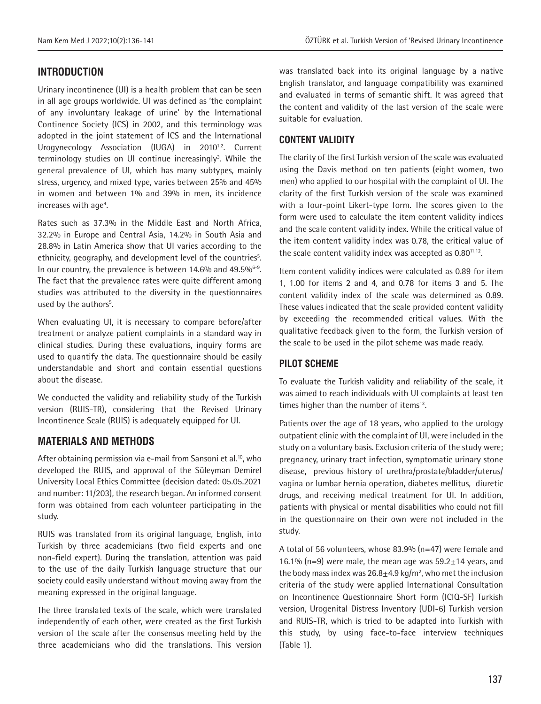## **INTRODUCTION**

Urinary incontinence (UI) is a health problem that can be seen in all age groups worldwide. UI was defined as 'the complaint of any involuntary leakage of urine' by the International Continence Society (ICS) in 2002, and this terminology was adopted in the joint statement of ICS and the International Urogynecology Association (IUGA) in 2010<sup>1,2</sup>. Current terminology studies on UI continue increasingly<sup>3</sup>. While the general prevalence of UI, which has many subtypes, mainly stress, urgency, and mixed type, varies between 25% and 45% in women and between 1% and 39% in men, its incidence increases with age<sup>4</sup>.

Rates such as 37.3% in the Middle East and North Africa, 32.2% in Europe and Central Asia, 14.2% in South Asia and 28.8% in Latin America show that UI varies according to the ethnicity, geography, and development level of the countries<sup>5</sup>. In our country, the prevalence is between 14.6% and 49.5%<sup>6-9</sup>. The fact that the prevalence rates were quite different among studies was attributed to the diversity in the questionnaires used by the authors<sup>5</sup>.

When evaluating UI, it is necessary to compare before/after treatment or analyze patient complaints in a standard way in clinical studies. During these evaluations, inquiry forms are used to quantify the data. The questionnaire should be easily understandable and short and contain essential questions about the disease.

We conducted the validity and reliability study of the Turkish version (RUIS-TR), considering that the Revised Urinary Incontinence Scale (RUIS) is adequately equipped for UI.

## **MATERIALS AND METHODS**

After obtaining permission via e-mail from Sansoni et al.<sup>10</sup>, who developed the RUIS, and approval of the Süleyman Demirel University Local Ethics Committee (decision dated: 05.05.2021 and number: 11/203), the research began. An informed consent form was obtained from each volunteer participating in the study.

RUIS was translated from its original language, English, into Turkish by three academicians (two field experts and one non-field expert). During the translation, attention was paid to the use of the daily Turkish language structure that our society could easily understand without moving away from the meaning expressed in the original language.

The three translated texts of the scale, which were translated independently of each other, were created as the first Turkish version of the scale after the consensus meeting held by the three academicians who did the translations. This version was translated back into its original language by a native English translator, and language compatibility was examined and evaluated in terms of semantic shift. It was agreed that the content and validity of the last version of the scale were suitable for evaluation.

## **CONTENT VALIDITY**

The clarity of the first Turkish version of the scale was evaluated using the Davis method on ten patients (eight women, two men) who applied to our hospital with the complaint of UI. The clarity of the first Turkish version of the scale was examined with a four-point Likert-type form. The scores given to the form were used to calculate the item content validity indices and the scale content validity index. While the critical value of the item content validity index was 0.78, the critical value of the scale content validity index was accepted as  $0.80^{11,12}$ .

Item content validity indices were calculated as 0.89 for item 1, 1.00 for items 2 and 4, and 0.78 for items 3 and 5. The content validity index of the scale was determined as 0.89. These values indicated that the scale provided content validity by exceeding the recommended critical values. With the qualitative feedback given to the form, the Turkish version of the scale to be used in the pilot scheme was made ready.

## **PILOT SCHEME**

To evaluate the Turkish validity and reliability of the scale, it was aimed to reach individuals with UI complaints at least ten times higher than the number of items<sup>13</sup>.

Patients over the age of 18 years, who applied to the urology outpatient clinic with the complaint of UI, were included in the study on a voluntary basis. Exclusion criteria of the study were; pregnancy, urinary tract infection, symptomatic urinary stone disease, previous history of urethra/prostate/bladder/uterus/ vagina or lumbar hernia operation, diabetes mellitus, diuretic drugs, and receiving medical treatment for UI. In addition, patients with physical or mental disabilities who could not fill in the questionnaire on their own were not included in the study.

A total of 56 volunteers, whose 83.9% (n=47) were female and 16.1% (n=9) were male, the mean age was  $59.2 \pm 14$  years, and the body mass index was  $26.8 \pm 4.9$  kg/m<sup>2</sup>, who met the inclusion criteria of the study were applied International Consultation on Incontinence Questionnaire Short Form (ICIQ-SF) Turkish version, Urogenital Distress Inventory (UDI-6) Turkish version and RUIS-TR, which is tried to be adapted into Turkish with this study, by using face-to-face interview techniques (Table 1).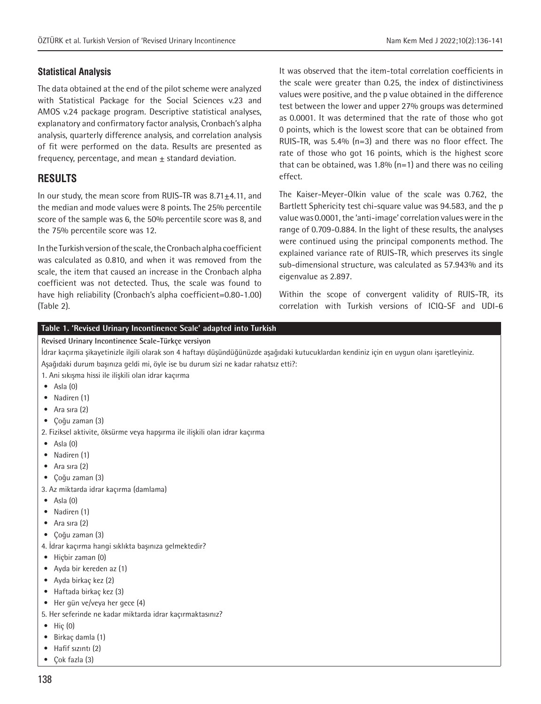## **Statistical Analysis**

The data obtained at the end of the pilot scheme were analyzed with Statistical Package for the Social Sciences v.23 and AMOS v.24 package program. Descriptive statistical analyses, explanatory and confirmatory factor analysis, Cronbach's alpha analysis, quarterly difference analysis, and correlation analysis of fit were performed on the data. Results are presented as frequency, percentage, and mean  $\pm$  standard deviation.

## **RESULTS**

In our study, the mean score from RUIS-TR was 8.71±4.11, and the median and mode values were 8 points. The 25% percentile score of the sample was 6, the 50% percentile score was 8, and the 75% percentile score was 12.

In the Turkish version of the scale, the Cronbach alpha coefficient was calculated as 0.810, and when it was removed from the scale, the item that caused an increase in the Cronbach alpha coefficient was not detected. Thus, the scale was found to have high reliability (Cronbach's alpha coefficient=0.80-1.00) (Table 2).

It was observed that the item-total correlation coefficients in the scale were greater than 0.25, the index of distinctiviness values were positive, and the p value obtained in the difference test between the lower and upper 27% groups was determined as 0.0001. It was determined that the rate of those who got 0 points, which is the lowest score that can be obtained from RUIS-TR, was 5.4% (n=3) and there was no floor effect. The rate of those who got 16 points, which is the highest score that can be obtained, was 1.8%  $(n=1)$  and there was no ceiling effect.

The Kaiser-Meyer-Olkin value of the scale was 0.762, the Bartlett Sphericity test chi-square value was 94.583, and the p value was 0.0001, the 'anti-image' correlation values were in the range of 0.709-0.884. In the light of these results, the analyses were continued using the principal components method. The explained variance rate of RUIS-TR, which preserves its single sub-dimensional structure, was calculated as 57.943% and its eigenvalue as 2.897.

Within the scope of convergent validity of RUIS-TR, its correlation with Turkish versions of ICIQ-SF and UDI-6

#### **Table 1. 'Revised Urinary Incontinence Scale' adapted into Turkish**

#### **Revised Urinary Incontinence Scale-Türkçe versiyon**

İdrar kaçırma şikayetinizle ilgili olarak son 4 haftayı düşündüğünüzde aşağıdaki kutucuklardan kendiniz için en uygun olanı işaretleyiniz. Aşağıdaki durum başınıza geldi mi, öyle ise bu durum sizi ne kadar rahatsız etti?:

- 1. Ani sıkışma hissi ile ilişkili olan idrar kaçırma
- $\bullet$  Asla  $(0)$
- Nadiren (1)
- Ara sıra (2)
- Çoğu zaman (3)
- 2. Fiziksel aktivite, öksürme veya hapşırma ile ilişkili olan idrar kaçırma
- $\bullet$  Asla  $(0)$
- Nadiren (1)
- Ara sıra (2)
- Çoğu zaman (3)
- 3. Az miktarda idrar kaçırma (damlama)
- $\bullet$  Asla  $(0)$
- Nadiren (1)
- Ara sıra (2)
- Çoğu zaman (3)
- 4. İdrar kaçırma hangi sıklıkta başınıza gelmektedir?
- Hiçbir zaman (0)
- Ayda bir kereden az (1)
- Ayda birkaç kez (2)
- Haftada birkaç kez (3)
- Her gün ve/veya her gece (4)
- 5. Her seferinde ne kadar miktarda idrar kaçırmaktasınız?
- Hiç (0)
- Birkaç damla (1)
- Hafif sızıntı (2)
- Çok fazla (3)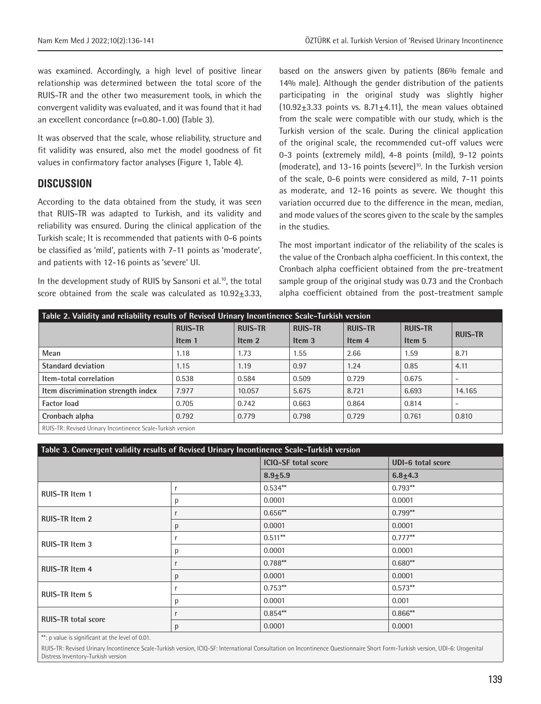was examined. Accordingly, a high level of positive linear relationship was determined between the total score of the RUIS-TR and the other two measurement tools, in which the convergent validity was evaluated, and it was found that it had an excellent concordance (r=0.80-1.00) (Table 3).

It was observed that the scale, whose reliability, structure and fit validity was ensured, also met the model goodness of fit values in confirmatory factor analyses (Figure 1, Table 4).

## **DISCUSSION**

According to the data obtained from the study, it was seen that RUIS-TR was adapted to Turkish, and its validity and reliability was ensured. During the clinical application of the Turkish scale; It is recommended that patients with 0-6 points be classified as 'mild', patients with 7-11 points as 'moderate', and patients with 12-16 points as 'severe' UI.

In the development study of RUIS by Sansoni et al.<sup>10</sup>, the total score obtained from the scale was calculated as  $10.92 \pm 3.33$ ,

based on the answers given by patients (86% female and 14% male). Although the gender distribution of the patients participating in the original study was slightly higher  $(10.92+3.33$  points vs. 8.71+4.11), the mean values obtained from the scale were compatible with our study, which is the Turkish version of the scale. During the clinical application of the original scale, the recommended cut-off values were 0-3 points (extremely mild), 4-8 points (mild), 9-12 points (moderate), and 13-16 points (severe)<sup>10</sup>. In the Turkish version of the scale, 0-6 points were considered as mild, 7-11 points as moderate, and 12-16 points as severe. We thought this variation occurred due to the difference in the mean, median, and mode values of the scores given to the scale by the samples in the studies.

The most important indicator of the reliability of the scales is the value of the Cronbach alpha coefficient. In this context, the Cronbach alpha coefficient obtained from the pre-treatment sample group of the original study was 0.73 and the Cronbach alpha coefficient obtained from the post-treatment sample

| Table 2. Validity and reliability results of Revised Urinary Incontinence Scale-Turkish version |                |                |                   |                   |                |                |  |
|-------------------------------------------------------------------------------------------------|----------------|----------------|-------------------|-------------------|----------------|----------------|--|
|                                                                                                 | <b>RUIS-TR</b> | <b>RUIS-TR</b> | <b>RUIS-TR</b>    | <b>RUIS-TR</b>    | <b>RUIS-TR</b> | <b>RUIS-TR</b> |  |
|                                                                                                 | Item 1         | Item 2         | Item <sub>3</sub> | Item <sub>4</sub> | Item 5         |                |  |
| Mean                                                                                            | 1.18           | 1.73           | 1.55              | 2.66              | 1.59           | 8.71           |  |
| <b>Standard deviation</b>                                                                       | 1.15           | 1.19           | 0.97              | 1.24              | 0.85           | 4.11           |  |
| Item-total correlation                                                                          | 0.538          | 0.584          | 0.509             | 0.729             | 0.675          | ۰              |  |
| Item discrimination strength index                                                              | 7.977          | 10.057         | 5.675             | 8.721             | 6.693          | 14.165         |  |
| <b>Factor load</b>                                                                              | 0.705          | 0.742          | 0.663             | 0.864             | 0.814          | -              |  |
| Cronbach alpha                                                                                  | 0.792          | 0.779          | 0.798             | 0.729             | 0.761          | 0.810          |  |
| RHIS-TR: Revised Hrinary Incontinence Scale-Turkish version                                     |                |                |                   |                   |                |                |  |

RUIS-TR: Revised Urinary Incontinence Scale-Turkish version

| Table 3. Convergent validity results of Revised Urinary Incontinence Scale-Turkish version |   |                            |                          |  |  |  |
|--------------------------------------------------------------------------------------------|---|----------------------------|--------------------------|--|--|--|
|                                                                                            |   | <b>ICIQ-SF total score</b> | <b>UDI-6 total score</b> |  |  |  |
|                                                                                            |   | $8.9 + 5.9$                | $6.8 + 4.3$              |  |  |  |
| RUIS-TR Item 1                                                                             | r | $0.534**$                  | $0.793**$                |  |  |  |
|                                                                                            | р | 0.0001                     | 0.0001                   |  |  |  |
| <b>RUIS-TR Item 2</b>                                                                      |   | $0.656**$                  | $0.799**$                |  |  |  |
|                                                                                            | р | 0.0001                     | 0.0001                   |  |  |  |
| RUIS-TR Item 3                                                                             |   | $0.511***$                 | $0.777**$                |  |  |  |
|                                                                                            | р | 0.0001                     | 0.0001                   |  |  |  |
| <b>RUIS-TR Item 4</b>                                                                      |   | $0.788**$                  | $0.680**$                |  |  |  |
|                                                                                            | p | 0.0001                     | 0.0001                   |  |  |  |
| <b>RUIS-TR Item 5</b>                                                                      |   | $0.753**$                  | $0.573**$                |  |  |  |
|                                                                                            | р | 0.0001                     | 0.001                    |  |  |  |
| <b>RUIS-TR total score</b>                                                                 |   | $0.854***$                 | $0.866**$                |  |  |  |
|                                                                                            | p | 0.0001                     | 0.0001                   |  |  |  |

\*\*: p value is significant at the level of 0.01.

RUIS-TR: Revised Urinary Incontinence Scale-Turkish version, ICIQ-SF: International Consultation on Incontinence Questionnaire Short Form-Turkish version, UDI-6: Urogenital Distress Inventory-Turkish version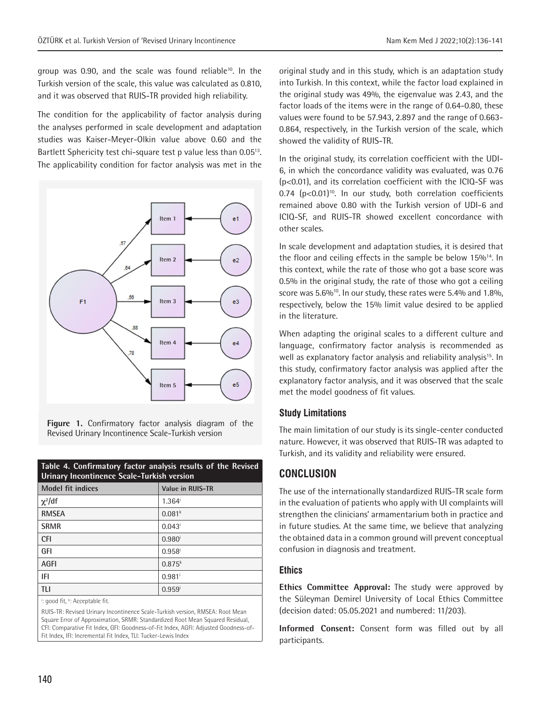group was 0.90, and the scale was found reliable<sup>10</sup>. In the Turkish version of the scale, this value was calculated as 0.810, and it was observed that RUIS-TR provided high reliability.

The condition for the applicability of factor analysis during the analyses performed in scale development and adaptation studies was Kaiser-Meyer-Olkin value above 0.60 and the Bartlett Sphericity test chi-square test p value less than 0.05<sup>13</sup>. The applicability condition for factor analysis was met in the



**Figure 1.** Confirmatory factor analysis diagram of the Revised Urinary Incontinence Scale-Turkish version

| Table 4. Confirmatory factor analysis results of the Revised<br>Urinary Incontinence Scale-Turkish version |                      |  |  |  |
|------------------------------------------------------------------------------------------------------------|----------------------|--|--|--|
| <b>Model fit indices</b>                                                                                   | Value in RUIS-TR     |  |  |  |
| $\chi^2$ /df                                                                                               | $1.364^{\mathrm{i}}$ |  |  |  |
| <b>RMSEA</b>                                                                                               | 0.081 <sup>k</sup>   |  |  |  |
| <b>SRMR</b>                                                                                                | $0.043^{\mathrm{i}}$ |  |  |  |
| <b>CFI</b>                                                                                                 | $0.980^{i}$          |  |  |  |
| GFI                                                                                                        | $0.958^{i}$          |  |  |  |
| <b>AGFI</b>                                                                                                | $0.875^{k}$          |  |  |  |
| IFI                                                                                                        | $0.981$ <sup>i</sup> |  |  |  |
| TI I                                                                                                       | $0.959^{i}$          |  |  |  |

<sup>i</sup>: good fit, <sup>k</sup>: Acceptable fit.

RUIS-TR: Revised Urinary Incontinence Scale-Turkish version, RMSEA: Root Mean Square Error of Approximation, SRMR: Standardized Root Mean Squared Residual, CFI: Comparative Fit Index, GFI: Goodness-of-Fit Index, AGFI: Adjusted Goodness-of-Fit Index, IFI: Incremental Fit Index, TLI: Tucker-Lewis Index

original study and in this study, which is an adaptation study into Turkish. In this context, while the factor load explained in the original study was 49%, the eigenvalue was 2.43, and the factor loads of the items were in the range of 0.64-0.80, these values were found to be 57.943, 2.897 and the range of 0.663- 0.864, respectively, in the Turkish version of the scale, which showed the validity of RUIS-TR.

In the original study, its correlation coefficient with the UDI-6, in which the concordance validity was evaluated, was 0.76 (p<0.01), and its correlation coefficient with the ICIQ-SF was  $0.74$  ( $p<0.01$ <sup>10</sup>. In our study, both correlation coefficients remained above 0.80 with the Turkish version of UDI-6 and ICIQ-SF, and RUIS-TR showed excellent concordance with other scales.

In scale development and adaptation studies, it is desired that the floor and ceiling effects in the sample be below 15%<sup>14</sup>. In this context, while the rate of those who got a base score was 0.5% in the original study, the rate of those who got a ceiling score was  $5.6\%$ <sup>10</sup>. In our study, these rates were  $5.4\%$  and  $1.8\%$ , respectively, below the 15% limit value desired to be applied in the literature.

When adapting the original scales to a different culture and language, confirmatory factor analysis is recommended as well as explanatory factor analysis and reliability analysis<sup>15</sup>. In this study, confirmatory factor analysis was applied after the explanatory factor analysis, and it was observed that the scale met the model goodness of fit values.

## **Study Limitations**

The main limitation of our study is its single-center conducted nature. However, it was observed that RUIS-TR was adapted to Turkish, and its validity and reliability were ensured.

# **CONCLUSION**

The use of the internationally standardized RUIS-TR scale form in the evaluation of patients who apply with UI complaints will strengthen the clinicians' armamentarium both in practice and in future studies. At the same time, we believe that analyzing the obtained data in a common ground will prevent conceptual confusion in diagnosis and treatment.

## **Ethics**

**Ethics Committee Approval:** The study were approved by the Süleyman Demirel University of Local Ethics Committee (decision dated: 05.05.2021 and numbered: 11/203).

**Informed Consent:** Consent form was filled out by all participants.